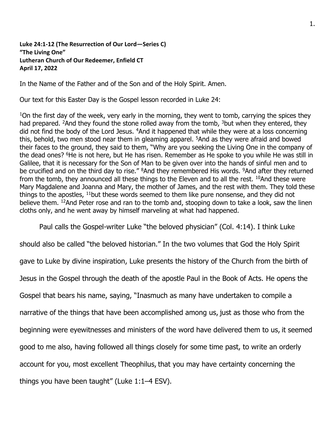## **Luke 24:1-12 (The Resurrection of Our Lord—Series C) "The Living One" Lutheran Church of Our Redeemer, Enfield CT April 17, 2022**

In the Name of the Father and of the Son and of the Holy Spirit. Amen.

Our text for this Easter Day is the Gospel lesson recorded in Luke 24:

<sup>1</sup>On the first day of the week, very early in the morning, they went to tomb, carrying the spices they had prepared. <sup>2</sup>And they found the stone rolled away from the tomb,  $3$  but when they entered, they did not find the body of the Lord Jesus. <sup>4</sup>And it happened that while they were at a loss concerning this, behold, two men stood near them in gleaming apparel. <sup>5</sup>And as they were afraid and bowed their faces to the ground, they said to them, "Why are you seeking the Living One in the company of the dead ones? <sup>6</sup>He is not here, but He has risen. Remember as He spoke to you while He was still in Galilee, that it is necessary for the Son of Man to be given over into the hands of sinful men and to be crucified and on the third day to rise." <sup>8</sup>And they remembered His words. <sup>9</sup>And after they returned from the tomb, they announced all these things to the Eleven and to all the rest. <sup>10</sup>And these were Mary Magdalene and Joanna and Mary, the mother of James, and the rest with them. They told these things to the apostles, <sup>11</sup>but these words seemed to them like pure nonsense, and they did not believe them. <sup>12</sup>And Peter rose and ran to the tomb and, stooping down to take a look, saw the linen cloths only, and he went away by himself marveling at what had happened.

Paul calls the Gospel-writer Luke "the beloved physician" (Col. 4:14). I think Luke

should also be called "the beloved historian." In the two volumes that God the Holy Spirit gave to Luke by divine inspiration, Luke presents the history of the Church from the birth of Jesus in the Gospel through the death of the apostle Paul in the Book of Acts. He opens the Gospel that bears his name, saying, "Inasmuch as many have undertaken to compile a narrative of the things that have been accomplished among us, just as those who from the beginning were eyewitnesses and ministers of the word have delivered them to us, it seemed good to me also, having followed all things closely for some time past, to write an orderly account for you, most excellent Theophilus, that you may have certainty concerning the things you have been taught" (Luke 1:1–4 ESV).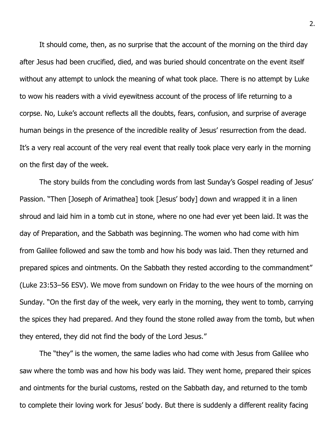It should come, then, as no surprise that the account of the morning on the third day after Jesus had been crucified, died, and was buried should concentrate on the event itself without any attempt to unlock the meaning of what took place. There is no attempt by Luke to wow his readers with a vivid eyewitness account of the process of life returning to a corpse. No, Luke's account reflects all the doubts, fears, confusion, and surprise of average human beings in the presence of the incredible reality of Jesus' resurrection from the dead. It's a very real account of the very real event that really took place very early in the morning on the first day of the week.

The story builds from the concluding words from last Sunday's Gospel reading of Jesus' Passion. "Then [Joseph of Arimathea] took [Jesus' body] down and wrapped it in a linen shroud and laid him in a tomb cut in stone, where no one had ever yet been laid. It was the day of Preparation, and the Sabbath was beginning. The women who had come with him from Galilee followed and saw the tomb and how his body was laid. Then they returned and prepared spices and ointments. On the Sabbath they rested according to the commandment" (Luke 23:53–56 ESV). We move from sundown on Friday to the wee hours of the morning on Sunday. "On the first day of the week, very early in the morning, they went to tomb, carrying the spices they had prepared. And they found the stone rolled away from the tomb, but when they entered, they did not find the body of the Lord Jesus."

The "they" is the women, the same ladies who had come with Jesus from Galilee who saw where the tomb was and how his body was laid. They went home, prepared their spices and ointments for the burial customs, rested on the Sabbath day, and returned to the tomb to complete their loving work for Jesus' body. But there is suddenly a different reality facing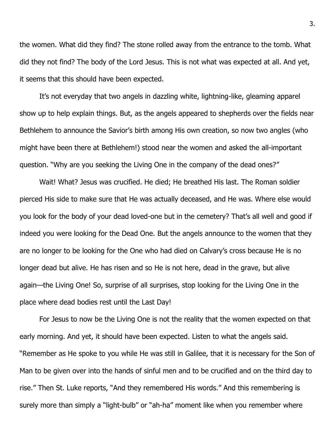the women. What did they find? The stone rolled away from the entrance to the tomb. What did they not find? The body of the Lord Jesus. This is not what was expected at all. And yet, it seems that this should have been expected.

It's not everyday that two angels in dazzling white, lightning-like, gleaming apparel show up to help explain things. But, as the angels appeared to shepherds over the fields near Bethlehem to announce the Savior's birth among His own creation, so now two angles (who might have been there at Bethlehem!) stood near the women and asked the all-important question. "Why are you seeking the Living One in the company of the dead ones?"

Wait! What? Jesus was crucified. He died; He breathed His last. The Roman soldier pierced His side to make sure that He was actually deceased, and He was. Where else would you look for the body of your dead loved-one but in the cemetery? That's all well and good if indeed you were looking for the Dead One. But the angels announce to the women that they are no longer to be looking for the One who had died on Calvary's cross because He is no longer dead but alive. He has risen and so He is not here, dead in the grave, but alive again—the Living One! So, surprise of all surprises, stop looking for the Living One in the place where dead bodies rest until the Last Day!

For Jesus to now be the Living One is not the reality that the women expected on that early morning. And yet, it should have been expected. Listen to what the angels said. "Remember as He spoke to you while He was still in Galilee, that it is necessary for the Son of Man to be given over into the hands of sinful men and to be crucified and on the third day to rise." Then St. Luke reports, "And they remembered His words." And this remembering is surely more than simply a "light-bulb" or "ah-ha" moment like when you remember where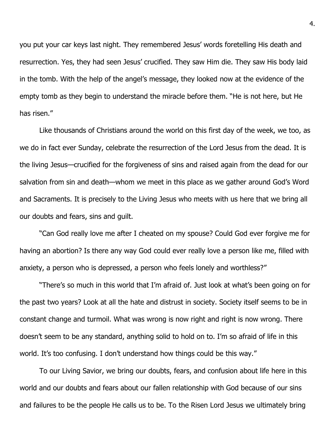you put your car keys last night. They remembered Jesus' words foretelling His death and resurrection. Yes, they had seen Jesus' crucified. They saw Him die. They saw His body laid in the tomb. With the help of the angel's message, they looked now at the evidence of the empty tomb as they begin to understand the miracle before them. "He is not here, but He has risen."

Like thousands of Christians around the world on this first day of the week, we too, as we do in fact ever Sunday, celebrate the resurrection of the Lord Jesus from the dead. It is the living Jesus—crucified for the forgiveness of sins and raised again from the dead for our salvation from sin and death—whom we meet in this place as we gather around God's Word and Sacraments. It is precisely to the Living Jesus who meets with us here that we bring all our doubts and fears, sins and guilt.

"Can God really love me after I cheated on my spouse? Could God ever forgive me for having an abortion? Is there any way God could ever really love a person like me, filled with anxiety, a person who is depressed, a person who feels lonely and worthless?"

"There's so much in this world that I'm afraid of. Just look at what's been going on for the past two years? Look at all the hate and distrust in society. Society itself seems to be in constant change and turmoil. What was wrong is now right and right is now wrong. There doesn't seem to be any standard, anything solid to hold on to. I'm so afraid of life in this world. It's too confusing. I don't understand how things could be this way."

To our Living Savior, we bring our doubts, fears, and confusion about life here in this world and our doubts and fears about our fallen relationship with God because of our sins and failures to be the people He calls us to be. To the Risen Lord Jesus we ultimately bring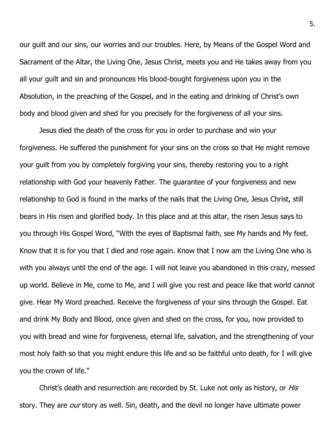our guilt and our sins, our worries and our troubles. Here, by Means of the Gospel Word and Sacrament of the Altar, the Living One, Jesus Christ, meets you and He takes away from you all your guilt and sin and pronounces His blood-bought forgiveness upon you in the Absolution, in the preaching of the Gospel, and in the eating and drinking of Christ's own body and blood given and shed for you precisely for the forgiveness of all your sins.

Jesus died the death of the cross for you in order to purchase and win your forgiveness. He suffered the punishment for your sins on the cross so that He might remove your guilt from you by completely forgiving your sins, thereby restoring you to a right relationship with God your heavenly Father. The guarantee of your forgiveness and new relationship to God is found in the marks of the nails that the Living One, Jesus Christ, still bears in His risen and glorified body. In this place and at this altar, the risen Jesus says to you through His Gospel Word, "With the eyes of Baptismal faith, see My hands and My feet. Know that it is for you that I died and rose again. Know that I now am the Living One who is with you always until the end of the age. I will not leave you abandoned in this crazy, messed up world. Believe in Me, come to Me, and I will give you rest and peace like that world cannot give. Hear My Word preached. Receive the forgiveness of your sins through the Gospel. Eat and drink My Body and Blood, once given and shed on the cross, for you, now provided to you with bread and wine for forgiveness, eternal life, salvation, and the strengthening of your most holy faith so that you might endure this life and so be faithful unto death, for I will give you the crown of life."

Christ's death and resurrection are recorded by St. Luke not only as history, or *His* story. They are *our* story as well. Sin, death, and the devil no longer have ultimate power